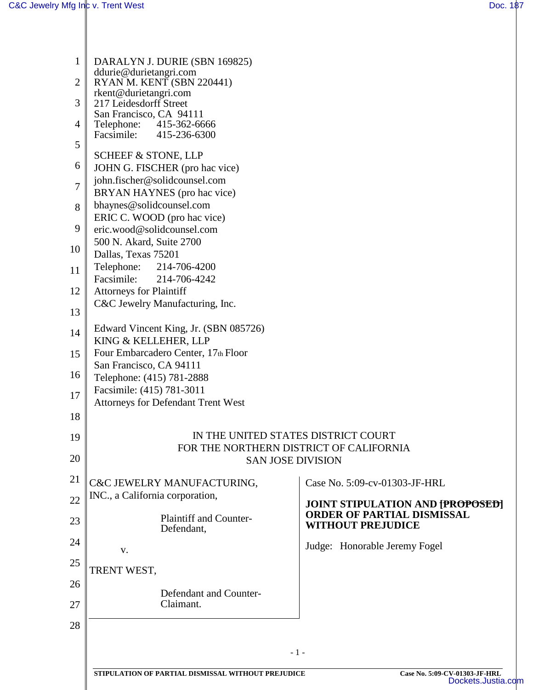| $\mathbf{1}$ | DARALYN J. DURIE (SBN 169825)                                                  |                                                     |  |  |
|--------------|--------------------------------------------------------------------------------|-----------------------------------------------------|--|--|
| 2            | ddurie@durietangri.com                                                         |                                                     |  |  |
|              | RYAN M. KENT (SBN 220441)<br>rkent@durietangri.com                             |                                                     |  |  |
| 3            | 217 Leidesdorff Street                                                         |                                                     |  |  |
|              | San Francisco, CA 94111                                                        |                                                     |  |  |
| 4            | Telephone: 415-362-6666<br>Facsimile:<br>415-236-6300                          |                                                     |  |  |
| 5            |                                                                                |                                                     |  |  |
|              | <b>SCHEEF &amp; STONE, LLP</b>                                                 |                                                     |  |  |
| 6            | JOHN G. FISCHER (pro hac vice)                                                 |                                                     |  |  |
| 7            | john.fischer@solidcounsel.com<br>BRYAN HAYNES (pro hac vice)                   |                                                     |  |  |
| 8            | bhaynes@solidcounsel.com                                                       |                                                     |  |  |
|              | ERIC C. WOOD (pro hac vice)                                                    |                                                     |  |  |
| 9            | eric.wood@solidcounsel.com                                                     |                                                     |  |  |
|              | 500 N. Akard, Suite 2700                                                       |                                                     |  |  |
| 10           | Dallas, Texas 75201                                                            |                                                     |  |  |
| 11           | Telephone:<br>214-706-4200                                                     |                                                     |  |  |
|              | Facsimile:<br>214-706-4242                                                     |                                                     |  |  |
| 12           | <b>Attorneys for Plaintiff</b><br>C&C Jewelry Manufacturing, Inc.              |                                                     |  |  |
| 13           |                                                                                |                                                     |  |  |
| 14           | Edward Vincent King, Jr. (SBN 085726)                                          |                                                     |  |  |
|              | KING & KELLEHER, LLP                                                           |                                                     |  |  |
| 15           | Four Embarcadero Center, 17th Floor                                            |                                                     |  |  |
| 16           | San Francisco, CA 94111<br>Telephone: (415) 781-2888                           |                                                     |  |  |
|              | Facsimile: (415) 781-3011                                                      |                                                     |  |  |
| 17           | <b>Attorneys for Defendant Trent West</b>                                      |                                                     |  |  |
| 18           |                                                                                |                                                     |  |  |
| 19           |                                                                                |                                                     |  |  |
|              | IN THE UNITED STATES DISTRICT COURT<br>FOR THE NORTHERN DISTRICT OF CALIFORNIA |                                                     |  |  |
| 20           | <b>SAN JOSE DIVISION</b>                                                       |                                                     |  |  |
| 21           |                                                                                |                                                     |  |  |
|              | C&C JEWELRY MANUFACTURING,                                                     | Case No. 5:09-cv-01303-JF-HRL                       |  |  |
| 22           | INC., a California corporation,                                                | <b>JOINT STIPULATION AND [PROPOSED]</b>             |  |  |
| 23           | <b>Plaintiff and Counter-</b>                                                  | <b>ORDER OF PARTIAL DISMISSAL</b>                   |  |  |
|              | Defendant,                                                                     | <b>WITHOUT PREJUDICE</b>                            |  |  |
| 24           | V.                                                                             | Judge: Honorable Jeremy Fogel                       |  |  |
| 25           |                                                                                |                                                     |  |  |
| 26           | TRENT WEST,                                                                    |                                                     |  |  |
|              | Defendant and Counter-                                                         |                                                     |  |  |
| 27           | Claimant.                                                                      |                                                     |  |  |
| 28           |                                                                                |                                                     |  |  |
|              |                                                                                |                                                     |  |  |
|              | $-1-$                                                                          |                                                     |  |  |
|              |                                                                                |                                                     |  |  |
|              | STIPULATION OF PARTIAL DISMISSAL WITHOUT PREJUDICE                             | Case No. 5:09-CV-01303-JF-HRL<br>Dockets.Justia.com |  |  |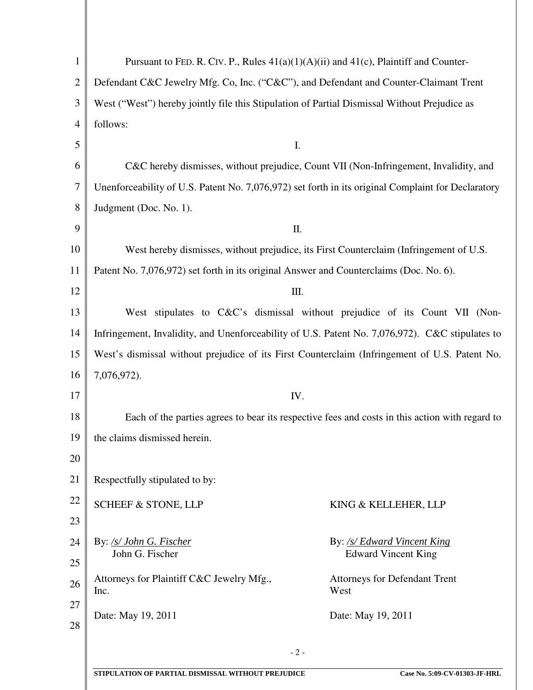| $\mathbf{1}$   | Pursuant to FED. R. CIV. P., Rules $41(a)(1)(A)(ii)$ and $41(c)$ , Plaintiff and Counter-               |  |
|----------------|---------------------------------------------------------------------------------------------------------|--|
| $\overline{2}$ | Defendant C&C Jewelry Mfg. Co, Inc. ("C&C"), and Defendant and Counter-Claimant Trent                   |  |
| 3              | West ("West") hereby jointly file this Stipulation of Partial Dismissal Without Prejudice as            |  |
| $\overline{4}$ | follows:                                                                                                |  |
| 5              | I.                                                                                                      |  |
| 6              | C&C hereby dismisses, without prejudice, Count VII (Non-Infringement, Invalidity, and                   |  |
| 7              | Unenforceability of U.S. Patent No. 7,076,972) set forth in its original Complaint for Declaratory      |  |
| 8              | Judgment (Doc. No. 1).                                                                                  |  |
| 9              | Π.                                                                                                      |  |
| 10             | West hereby dismisses, without prejudice, its First Counterclaim (Infringement of U.S.                  |  |
| 11             | Patent No. 7,076,972) set forth in its original Answer and Counterclaims (Doc. No. 6).                  |  |
| 12             | Ш.                                                                                                      |  |
| 13             | West stipulates to C&C's dismissal without prejudice of its Count VII (Non-                             |  |
| 14             | Infringement, Invalidity, and Unenforceability of U.S. Patent No. 7,076,972). C&C stipulates to         |  |
| 15             | West's dismissal without prejudice of its First Counterclaim (Infringement of U.S. Patent No.           |  |
| 16             | 7,076,972).                                                                                             |  |
| 17             | IV.                                                                                                     |  |
| 18             | Each of the parties agrees to bear its respective fees and costs in this action with regard to          |  |
| 19             | the claims dismissed herein.                                                                            |  |
| 20             |                                                                                                         |  |
| 21             | Respectfully stipulated to by:                                                                          |  |
| 22             | <b>SCHEEF &amp; STONE, LLP</b><br>KING & KELLEHER, LLP                                                  |  |
| 23             |                                                                                                         |  |
| 24             | By: /s/ John G. Fischer<br>By: /s/ Edward Vincent King<br><b>Edward Vincent King</b><br>John G. Fischer |  |
| 25             |                                                                                                         |  |
| 26             | Attorneys for Plaintiff C&C Jewelry Mfg.,<br><b>Attorneys for Defendant Trent</b><br>West<br>Inc.       |  |
| 27             | Date: May 19, 2011<br>Date: May 19, 2011                                                                |  |
| 28             |                                                                                                         |  |
|                | $-2-$                                                                                                   |  |
|                |                                                                                                         |  |